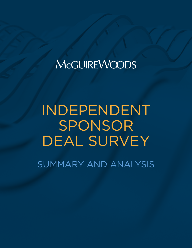# INDEPENDENT SPONSOR DEAL SURVEY

SUMMARY AND ANALYSIS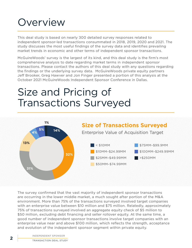## **Overview**

This deal study is based on nearly 300 detailed survey responses related to independent sponsor-led transactions consummated in 2018, 2019, 2020 and 2021. The study discusses the most useful findings of the survey data and identifies prevailing market trends in economic and other terms of independent sponsor transactions.

McGuireWoods' survey is the largest of its kind, and this deal study is the firm's most comprehensive analysis to date regarding market terms in independent sponsor transactions. Please contact the authors of this deal study with any questions regarding the findings or the underlying survey data. McGuireWoods private equity partners Jeff Brooker, Greg Hawver and Jon Finger presented a portion of this analysis at the October 2021 McGuireWoods Independent Sponsor Conference in Dallas.

## Size and Pricing of Transactions Surveyed



The survey confirmed that the vast majority of independent sponsor transactions are occurring in the lower middle market, a much sought after portion of the M&A environment. More than 75% of the transactions surveyed involved target companies with an enterprise value between \$10 million and \$75 million. Relatedly, approximately 75% of transactions surveyed involved an aggregate equity check of \$5 million to \$50 million, excluding debt financing and seller rollover equity. At the same time, a good number of independent sponsor transactions involve target companies with an enterprise value near and above \$100 million, which reflects the strength, acceptance and evolution of the independent sponsor segment within private equity.

INDEPENDENT SPONSOR **2 TRANSACTION DEAL STUDY**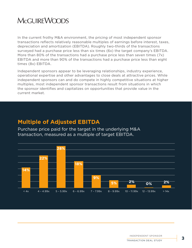In the current frothy M&A environment, the pricing of most independent sponsor transactions reflects relatively reasonable multiples of earnings before interest, taxes, depreciation and amortization (EBITDA). Roughly two-thirds of the transactions surveyed had a purchase price less than six times (6x) the target company's EBITDA. More than 80% of the transactions had a purchase price less than seven times (7x) EBITDA and more than 90% of the transactions had a purchase price less than eight times (8x) EBITDA.

Independent sponsors appear to be leveraging relationships, industry experience, operational expertise and other advantages to close deals at attractive prices. While independent sponsors can and do compete in highly competitive situations at higher multiples, most independent sponsor transactions result from situations in which the sponsor identifies and capitalizes on opportunities that provide value in the current market.

### **Multiple of Adjusted EBITDA**

Purchase price paid for the target in the underlying M&A transaction, measured as a multiple of target EBITDA.



INDEPENDENT SPONSOR TRANSACTION DEAL STUDY **3**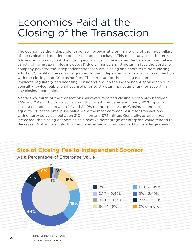## Economics Paid at the Closing of the Transaction

The economics the independent sponsor receives at closing are one of the three pillars of the typical independent sponsor economic package. This deal study uses the term "closing economics," but the closing economics to the independent sponsor can take a variety of forms. Examples include: (1) due diligence and structuring fees the portfolio company pays for the independent sponsor's pre-closing and short-term post-closing efforts, (2) profits interest units granted to the independent sponsor at or in connection with the closing, and (3) closing fees. The structure of the closing economics can implicate regulatory and licensing considerations, so the independent sponsor should consult knowledgeable legal counsel prior to structuring, documenting or accepting any closing economics.

Nearly two-thirds of the transactions surveyed reported closing economics between 1.5% and 2.49% of enterprise value of the target company, and nearly 80% reported closing economics between 1% and 2.49% of enterprise value. Closing economics equal to 2% of the enterprise value were the most common result for transactions with enterprise values between \$10 million and \$75 million. Generally, as deal sizes increased, the closing economics as a relative percentage of enterprise value tended to decrease. Not surprisingly, this trend was especially pronounced for very large deals.

### **Size of Closing Fee to Independent Sponsor**



As a Percentage of Enterprise Value

INDEPENDENT SPONSOR **4** TRANSACTION DEAL STUDY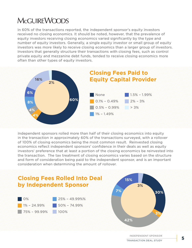In 60% of the transactions reported, the independent sponsor's equity investors received no closing economics. It should be noted, however, that the prevalence of equity investors receiving closing economics varied significantly by the type and number of equity investors. Generally, a single equity investor or small group of equity investors was more likely to receive closing economics than a larger group of investors. Investors that generally structure their transactions with closing fees, such as control private equity and mezzanine debt funds, tended to receive closing economics more often than other types of equity investors.



Independent sponsors rolled more than half of their closing economics into equity in the transaction in approximately 60% of the transactions surveyed, with a rollover of 100% of closing economics being the most common result. Reinvested closing economics reflect independent sponsors' confidence in their deals as well as equity investors' preference that at least a portion of the closing economics be reinvested into the transaction. The tax treatment of closing economics varies based on the structure and form of consideration being paid to the independent sponsor, and is an important consideration when determining the amount of rollover.

### **Closing Fees Rolled Into Deal by Independent Sponsor**



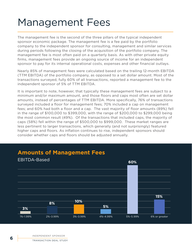## Management Fees

The management fee is the second of the three pillars of the typical independent sponsor economic package. The management fee is a fee paid by the portfolio company to the independent sponsor for consulting, management and similar services during periods following the closing of the acquisition of the portfolio company. The management fee is most often paid on a quarterly basis. As with other private equity firms, management fees provide an ongoing source of income for an independent sponsor to pay for its internal operational costs, expenses and other financial outlays.

Nearly 85% of management fees were calculated based on the trailing 12-month EBITDA (TTM EBITDA) of the portfolio company, as opposed to a set dollar amount. Most of the transactions surveyed, fully 60% of all transactions, reported a management fee to the independent sponsor of 5% of TTM EBITDA.

It is important to note, however, that typically these management fees are subject to a minimum and/or maximum amount, and those floors and caps most often are set dollar amounts, instead of percentages of TTM EBITDA. More specifically, 76% of transactions surveyed included a floor for management fees; 70% included a cap on management fees; and 60% had both a floor and a cap. The vast majority of floor amounts (89%) fell in the range of \$100,000 to \$399,000, with the range of \$200,000 to \$299,000 being the most common result (49%). Of the transactions that included caps, the majority of caps (58%) fell within the range of \$500,000 to \$999,000. These market ranges are less pertinent to larger transactions, which generally (and not surprisingly) featured higher caps and floors. As inflation continues to rise, independent sponsors should consider whether caps and floors should be adjusted annually.



### **Amounts of Management Fees**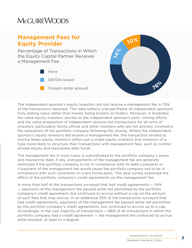### **Management Fees for Equity Provider**

Percentage of Transactions in Which the Equity Capital Partner Receives a Management Fee





The independent sponsor's equity investors did not receive a management fee in 75% of the transactions reported. This data reflects a broad theme of independent sponsors truly adding value rather than merely being brokers or finders. Moreover, it illustrates the value equity investors ascribe to the independent sponsor's post- closing efforts and the value proposition of independent sponsor-led transactions for all sorts of investors, particularly family offices and other investors who are not actively involved in the operations of the portfolio company following the closing. Where the independent sponsor's equity investors did receive a management fee, the transaction tended to involve fewer equity investors (often just a single equity investor) and investors of a type more likely to structure their transactions with management fees, such as control private equity and mezzanine debt funds.

The management fee in most cases is subordinated to the portfolio company's senior and mezzanine debt, if any, and payments of the management fee are generally restricted if the portfolio company is not in compliance with its debt covenants or if payment of the management fee would cause the portfolio company not to be in compliance with such covenants on a pro forma basis. This deal survey examined the effect of the portfolio company's credit agreements on the management fee.

In more than half of the transactions surveyed that had credit agreements — 54% — payments of the management fee paused while not permitted by the portfolio company's credit agreement, but continued to accrue without a cap on the amount of such fees that may accrue. In an additional 32% of the transactions surveyed that had credit agreements, payments of the management fee paused while not permitted by the portfolio company's credit agreements, but continued to accrue up to a cap. Accordingly, in the vast majority of transactions — 86% of all transactions in which the portfolio company had a credit agreement — the management fee continued to accrue while blocked, at least to a degree.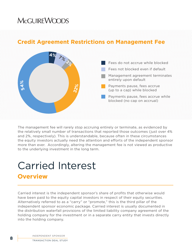### **Credit Agreement Restrictions on Management Fee**



The management fee will rarely stop accruing entirely or terminate, as evidenced by the relatively small number of transactions that reported those outcomes (just over 4% and 2%, respectively). This is understandable, because often in these circumstances the equity investors actually need the attention and efforts of the independent sponsor more than ever. Accordingly, altering the management fee is not viewed as productive to the underlying investment in the long term.

## Carried Interest **Overview**

Carried interest is the independent sponsor's share of profits that otherwise would have been paid to the equity capital investors in respect of their equity securities. Alternatively referred to as a "carry" or "promote," this is the third pillar of the independent sponsor economic package. Carried interest is usually documented in the distribution waterfall provisions of the limited liability company agreement of the holding company for the investment or in a separate carry entity that invests directly into the holding company.

INDEPENDENT SPONSOR **8 EXAMPLE TRANSACTION DEAL STUDY**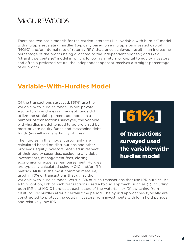There are two basic models for the carried interest: (1) a "variable with hurdles" model with multiple escalating hurdles (typically based on a multiple on invested capital (MOIC) and/or internal rate of return (IRR)) that, once achieved, result in an increasing percentage of the profits being allocated to the independent sponsor; and (2) a "straight percentage" model in which, following a return of capital to equity investors and often a preferred return, the independent sponsor receives a straight percentage of all profits.

### **Variable-With-Hurdles Model**

Of the transactions surveyed, [61%] use the variable-with-hurdles model. While private equity funds and mezzanine debt funds did utilize the straight-percentage model in a number of transactions surveyed, the variablewith-hurdles model tended to be preferred by most private equity funds and mezzanine debt funds (as well as many family offices).

The hurdles in this model customarily are calculated based on distributions and other proceeds equity investors received in respect of their equity securities, excluding any debt investments, management fees, closing economics or expense reimbursement. Hurdles are typically calculated using MOIC and/or IRR metrics. MOIC is the most common measure, used in 70% of transactions that utilize the

# [61%]

of transactions surveyed used the variable-withhurdles model

variable-with-hurdles model versus 13% of such transactions that use IRR hurdles. As a third option, 17% of such transactions used a hybrid approach, such as (1) including both IRR and MOIC hurdles at each stage of the waterfall, or (2) switching from MOIC to IRR hurdles after a certain time period. The hybrid approaches typically are constructed to protect the equity investors from investments with long hold periods and relatively low IRR.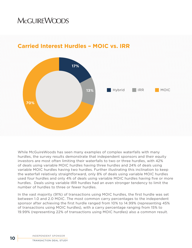

### **Carried Interest Hurdles – MOIC vs. IRR**

While McGuireWoods has seen many examples of complex waterfalls with many hurdles, the survey results demonstrate that independent sponsors and their equity investors are most often limiting their waterfalls to two or three hurdles, with 42% of deals using variable MOIC hurdles having three hurdles and 24% of deals using variable MOIC hurdles having two hurdles. Further illustrating this inclination to keep the waterfall relatively straightforward, only 8% of deals using variable MOIC hurdles used four hurdles and only 4% of deals using variable MOIC hurdles having five or more hurdles. Deals using variable IRR hurdles had an even stronger tendency to limit the number of hurdles to three or fewer hurdles.

In the vast majority (91%) of transactions using MOIC hurdles, the first hurdle was set between 1.0 and 2.0 MOIC. The most common carry percentages to the independent sponsor after achieving the first hurdle ranged from 10% to 14.99% (representing 45% of transactions using MOIC hurdles), with a carry percentage ranging from 15% to 19.99% (representing 22% of transactions using MOIC hurdles) also a common result.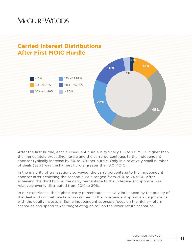

### **Carried Interest Distributions After First MOIC Hurdle**

After the first hurdle, each subsequent hurdle is typically 0.5 to 1.0 MOIC higher than the immediately preceding hurdle and the carry percentages to the independent sponsor typically increase by 5% to 10% per hurdle. Only in a relatively small number of deals (32%) was the highest hurdle greater than 3.0 MOIC.

In the majority of transactions surveyed, the carry percentage to the independent sponsor after achieving the second hurdle ranged from 20% to 24.99%. After achieving the third hurdle, the carry percentage to the independent sponsor was relatively evenly distributed from 20% to 30%.

In our experience, the highest carry percentage is heavily influenced by the quality of the deal and competitive tension reached in the independent sponsor's negotiations with the equity investors. Some independent sponsors focus on the higher-return scenarios and spend fewer "negotiating chips" on the lower-return scenarios.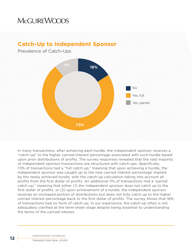### **Catch-Up to Independent Sponsor**

### Prevalence of Catch-Ups



In many transactions, after achieving each hurdle, the independent sponsor receives a "catch-up" to the higher carried interest percentage associated with such hurdle based upon prior distributions of profits. The survey responses revealed that the vast majority of independent sponsor transactions are structured with catch-ups. Specifically, 73% of transactions had a "full catch-up," meaning that upon achieving a hurdle, the independent sponsor was caught up to the new carried interest percentage implied by the newly achieved hurdle, with the catch-up calculation taking into account all profits from the first dollar of profits. An additional 11% of transactions had a "partial catch-up," meaning that either (1) the independent sponsor does not catch up to the first dollar of profits, or (2) upon achievement of a hurdle, the independent sponsor receives an increased portion of distributions but does not fully catch up to the higher carried interest percentage back to the first dollar of profits. The survey shows that 16% of transactions had no form of catch-up. In our experience, the catch-up often is not adequately clarified at the term-sheet stage despite being essential to understanding the terms of the carried interest.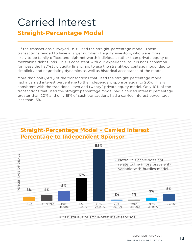## Carried Interest **Straight-Percentage Model**

Of the transactions surveyed, 39% used the straight-percentage model. Those transactions tended to have a larger number of equity investors, who were more likely to be family offices and high-net-worth individuals rather than private equity or mezzanine debt funds. This is consistent with our experience, as it is not uncommon for "pass the hat"-style equity financings to use the straight-percentage model due to simplicity and negotiating dynamics as well as historical acceptance of the model.

More than half (58%) of the transactions that used the straight-percentage model had a carried interest percentage to the independent sponsor equal to 20%. This is consistent with the traditional "two and twenty" private equity model. Only 10% of the transactions that used the straight-percentage model had a carried interest percentage greater than 20% and only 15% of such transactions had a carried interest percentage less than 15%.



### **Straight-Percentage Model – Carried Interest Percentage to Independent Sponsor**

% OF DISTRIBUTIONS TO INDEPENDENT SPONSOR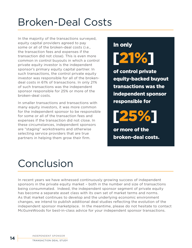## Broken-Deal Costs

In the majority of the transactions surveyed, equity capital providers agreed to pay some or all of the broken-deal costs (i.e., the transaction fees and expenses if the transaction did not close). This is even more common in control buyouts in which a control private equity investor is the independent sponsor's primary equity capital partner. In such transactions, the control private equity investor was responsible for all of the brokendeal costs in 61% of transactions. In only 21% of such transactions was the independent sponsor responsible for 25% or more of the broken-deal costs.

In smaller transactions and transactions with many equity investors, it was more common for the independent sponsor to be responsible for some or all of the transaction fees and expenses if the transaction did not close. In these circumstances, independent sponsors are "staging" workstreams and otherwise selecting service providers that are true partners in helping them grow their firm.

# In only [21%]

of control private equity-backed buyout transactions was the independent sponsor responsible for

[25%]

or more of the broken-deal costs.

## Conclusion

In recent years we have witnessed continuously growing success of independent sponsors in the private equity market – both in the number and size of transactions being consummated. Indeed, the independent sponsor segment of private equity has become a separate asset class with its own set of market terms and norms. As that market continues to develop and the underlying economic environment changes, we intend to publish additional deal studies reflecting the evolution of the independent sponsor marketplace. In the meantime, please do not hesitate to contact McGuireWoods for best-in-class advice for your independent sponsor transactions.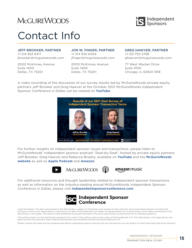

## Contact Info

#### JEFF BROOKER, PARTNER

+1 214 932 6417 jbrooker@mcguirewoods.com

2000 McKinney Avenue Suite 1400 Dallas, TX 75201

#### JON W. FINGER, PARTNER +1 214 932 6404

jfinger@mcguirewoods.com

2000 McKinney Avenue Suite 1400 Dallas, TX 75201

GREG HAWVER, PARTNER +1 312 750 2788 ghawver@mcguirewoods.com

77 West Wacker Drive Suite 4100 Chicago, IL 60601-1818

A video recording of the discussion of our survey results led by McGuireWoods private equity partners Jeff Brooker and Greg Hawver at the October 2021 McGuireWoods Independent Sponsor Conference in Dallas can be viewed on **[YouTube](https://www.youtube.com/watch?v=-i-8ZIJXBrk)**.



For further insights on independent sponsor issues and transactions, please listen to McGuireWoods' independent sponsor podcast "Deal-by-Deal", hosted by private equity partners Jeff Brooker, Greg Hawver and Rebecca Brophy, available on **[YouTube](https://www.youtube.com/channel/UCHrca2d_8eo1cP09Tix264g/search?query=Deal-by-Deal)** and the **[McGuireWoods](https://www.mcguirewoods.com/events/firm-events/2022/3/deal-by-deal-podcast-series) [website](https://www.mcguirewoods.com/events/firm-events/2022/3/deal-by-deal-podcast-series)** as well as **[Apple Podcast](https://podcasts.apple.com/us/podcast/deal-by-deal-an-independent-sponsor-podcast/id1534884674)** and **[Amazon](https://www.amazon.com/Deal-by-Deal-An-Independent-Sponsor-Podcast/dp/B08K57L3Y7)**.



amazon music

For additional resources and thought leadership related to independent sponsor transactions as well as information on the industry-leading annual McGuireWoods Independent Sponsor Conference in Dallas, please visit **[independentsponsorconference.com](http://www.independentsponsorconference.com/)**.



Legal Disclaimer: The data summarized in the Deal Study is subject to limitations with respect to the collection and presentation thereof, including the accuracy of the survey respondents in reporting such data. McGuireWoods LLP makes no representation as to the accuracy of the data summarized in the Deal Study or this paper. The authors have attempted to present the data in the most useful and accurate format for its intended audience.

The written analysis in this Deal Study represents the views of the authors and not the views of McGuireWoods LLP. This Deal Study is not legal advice and does not form any attorney-client relationship between any recipients thereof and McGuireWoods LLP.

Please consult with legal and tax professionals before negotiating and/or entering into any transactions (or any letters of intent describing the terms thereof).

INDEPENDENT SPONSOR